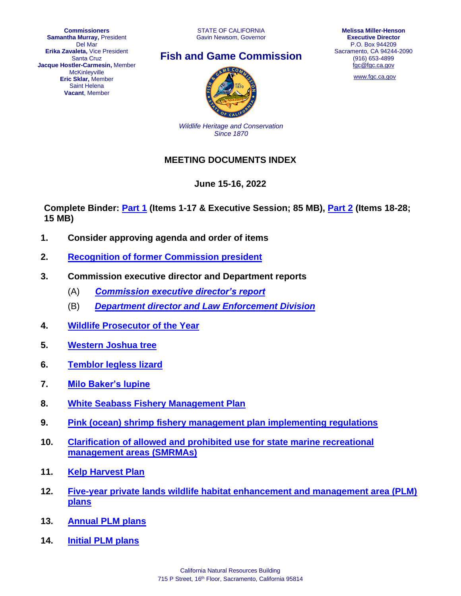**Commissioners Samantha Murray,** President Del Mar **Erika Zavaleta,** Vice President Santa Cruz **Jacque Hostler-Carmesin,** Member **McKinleyville Eric Sklar,** Member Saint Helena **Vacant**, Member

STATE OF CALIFORNIA Gavin Newsom, Governor





[www.fgc.ca.gov](http://www.fgc.ca.gov/)



*Wildlife Heritage and Conservation Since 1870*

## **MEETING DOCUMENTS INDEX**

## **June 15-16, 2022**

**Complete Binder: [Part 1](https://nrm.dfg.ca.gov/FileHandler.ashx?DocumentID=202355&inline) (Items 1-17 & Executive Session; 85 MB), [Part 2](https://nrm.dfg.ca.gov/FileHandler.ashx?DocumentID=202356&inline) (Items 18-28; 15 MB)**

- **1. Consider approving agenda and order of items**
- **2. [Recognition of former Commission](https://nrm.dfg.ca.gov/FileHandler.ashx?DocumentID=202309&inline) president**
- **3. Commission executive director and Department reports**
	- (A) *[Commission executive director's report](https://nrm.dfg.ca.gov/FileHandler.ashx?DocumentID=202389&inline)*
	- (B) *[Department director and Law Enforcement Division](https://nrm.dfg.ca.gov/FileHandler.ashx?DocumentID=202339&inline)*
- **4. [Wildlife Prosecutor of the Year](https://nrm.dfg.ca.gov/FileHandler.ashx?DocumentID=202290&inline)**
- **5. [Western Joshua tree](https://nrm.dfg.ca.gov/FileHandler.ashx?DocumentID=202354&inline)**
- **6. [Temblor legless lizard](https://nrm.dfg.ca.gov/FileHandler.ashx?DocumentID=202295&inline)**
- **7. [Milo Baker's lupine](https://nrm.dfg.ca.gov/FileHandler.ashx?DocumentID=202312&inline)**
- **8. [White Seabass Fishery Management Plan](https://nrm.dfg.ca.gov/FileHandler.ashx?DocumentID=202310&inline)**
- **9. [Pink \(ocean\) shrimp fishery management plan implementing regulations](https://nrm.dfg.ca.gov/FileHandler.ashx?DocumentID=202299&inline)**
- **10. [Clarification of allowed and prohibited use for state marine recreational](https://nrm.dfg.ca.gov/FileHandler.ashx?DocumentID=202311&inline)  [management areas \(SMRMAs\)](https://nrm.dfg.ca.gov/FileHandler.ashx?DocumentID=202311&inline)**
- **11. [Kelp Harvest Plan](https://nrm.dfg.ca.gov/FileHandler.ashx?DocumentID=202314&inline)**
- **12. [Five-year private lands wildlife habitat enhancement and management area \(PLM\)](https://nrm.dfg.ca.gov/FileHandler.ashx?DocumentID=202288&inline) [plans](https://nrm.dfg.ca.gov/FileHandler.ashx?DocumentID=202288&inline)**
- **13. Annual [PLM plans](https://nrm.dfg.ca.gov/FileHandler.ashx?DocumentID=202294&inline)**
- **14. [Initial PLM plans](https://nrm.dfg.ca.gov/FileHandler.ashx?DocumentID=202289&inline)**